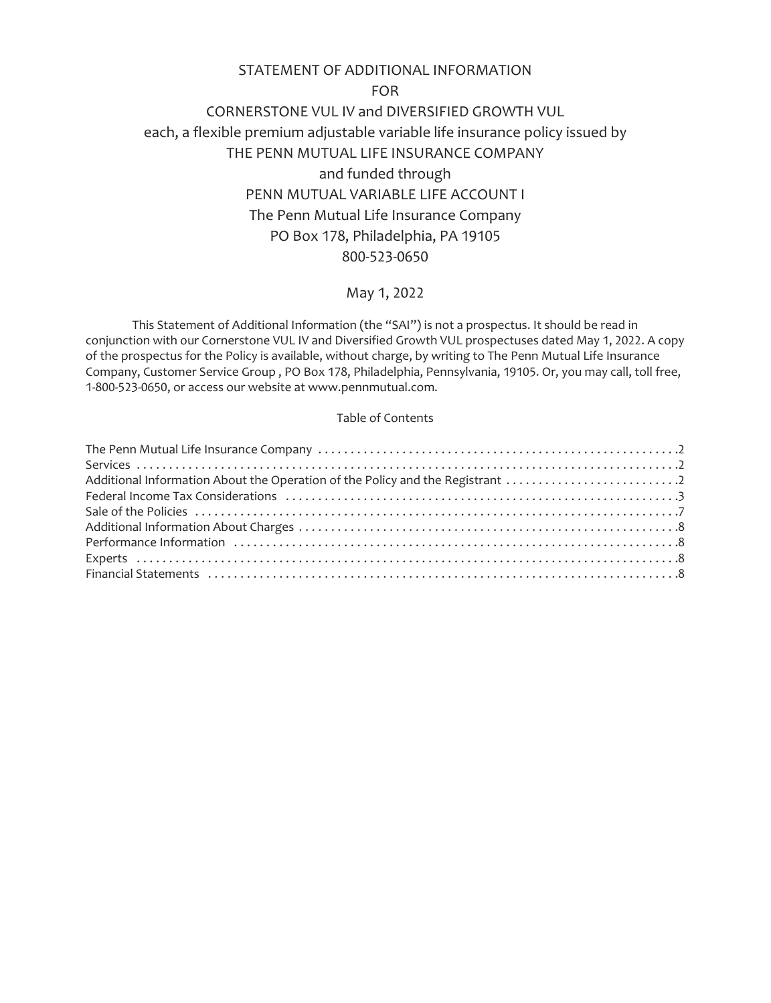# STATEMENT OF ADDITIONAL INFORMATION

FOR

CORNERSTONE VUL IV and DIVERSIFIED GROWTH VUL each, a flexible premium adjustable variable life insurance policy issued by THE PENN MUTUAL LIFE INSURANCE COMPANY and funded through PENN MUTUAL VARIABLE LIFE ACCOUNT I The Penn Mutual Life Insurance Company PO Box 178, Philadelphia, PA 19105 800-523-0650

# May 1, 2022

This Statement of Additional Information (the "SAI") is not a prospectus. It should be read in conjunction with our Cornerstone VUL IV and Diversified Growth VUL prospectuses dated May 1, 2022. A copy of the prospectus for the Policy is available, without charge, by writing to The Penn Mutual Life Insurance Company, Customer Service Group , PO Box 178, Philadelphia, Pennsylvania, 19105. Or, you may call, toll free, 1-800-523-0650, or access our website at www.pennmutual.com.

# Table of Contents

| Additional Information About the Operation of the Policy and the Registrant 2 |  |
|-------------------------------------------------------------------------------|--|
|                                                                               |  |
|                                                                               |  |
|                                                                               |  |
|                                                                               |  |
|                                                                               |  |
|                                                                               |  |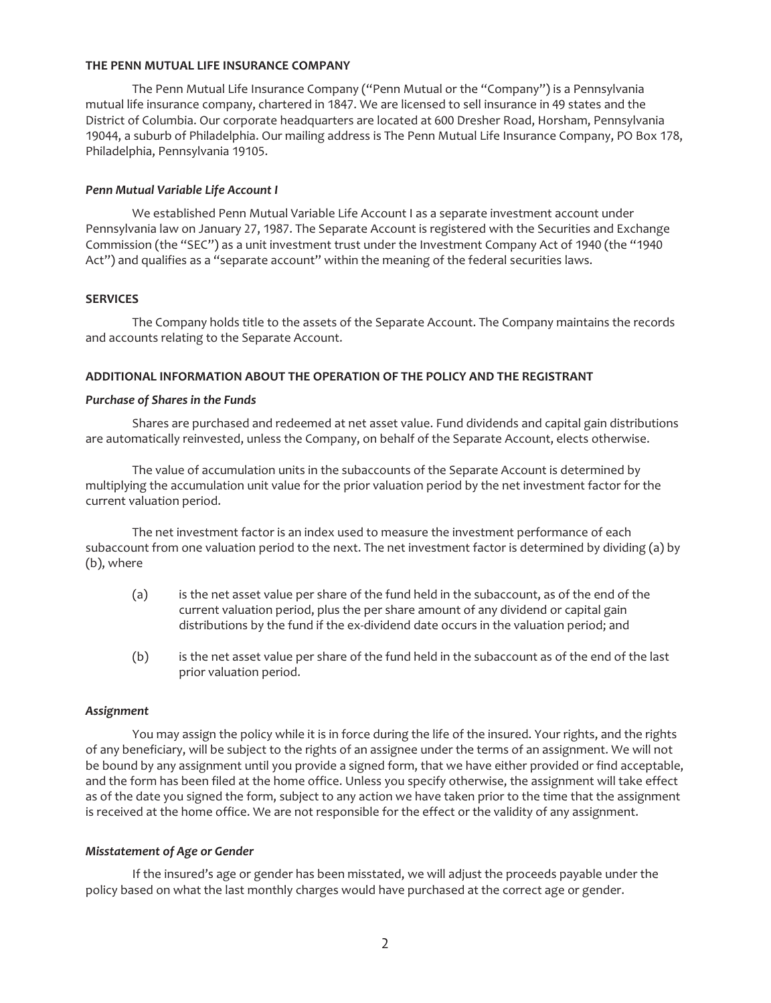#### <span id="page-1-0"></span>**THE PENN MUTUAL LIFE INSURANCE COMPANY**

The Penn Mutual Life Insurance Company ("Penn Mutual or the "Company") is a Pennsylvania mutual life insurance company, chartered in 1847. We are licensed to sell insurance in 49 states and the District of Columbia. Our corporate headquarters are located at 600 Dresher Road, Horsham, Pennsylvania 19044, a suburb of Philadelphia. Our mailing address is The Penn Mutual Life Insurance Company, PO Box 178, Philadelphia, Pennsylvania 19105.

## *Penn Mutual Variable Life Account I*

We established Penn Mutual Variable Life Account I as a separate investment account under Pennsylvania law on January 27, 1987. The Separate Account is registered with the Securities and Exchange Commission (the "SEC") as a unit investment trust under the Investment Company Act of 1940 (the "1940 Act") and qualifies as a "separate account" within the meaning of the federal securities laws.

# <span id="page-1-1"></span>**SERVICES**

The Company holds title to the assets of the Separate Account. The Company maintains the records and accounts relating to the Separate Account.

# <span id="page-1-2"></span>**ADDITIONAL INFORMATION ABOUT THE OPERATION OF THE POLICY AND THE REGISTRANT**

# *Purchase of Shares in the Funds*

Shares are purchased and redeemed at net asset value. Fund dividends and capital gain distributions are automatically reinvested, unless the Company, on behalf of the Separate Account, elects otherwise.

The value of accumulation units in the subaccounts of the Separate Account is determined by multiplying the accumulation unit value for the prior valuation period by the net investment factor for the current valuation period.

The net investment factor is an index used to measure the investment performance of each subaccount from one valuation period to the next. The net investment factor is determined by dividing (a) by (b), where

- (a) is the net asset value per share of the fund held in the subaccount, as of the end of the current valuation period, plus the per share amount of any dividend or capital gain distributions by the fund if the ex-dividend date occurs in the valuation period; and
- (b) is the net asset value per share of the fund held in the subaccount as of the end of the last prior valuation period.

## *Assignment*

You may assign the policy while it is in force during the life of the insured. Your rights, and the rights of any beneficiary, will be subject to the rights of an assignee under the terms of an assignment. We will not be bound by any assignment until you provide a signed form, that we have either provided or find acceptable, and the form has been filed at the home office. Unless you specify otherwise, the assignment will take effect as of the date you signed the form, subject to any action we have taken prior to the time that the assignment is received at the home office. We are not responsible for the effect or the validity of any assignment.

## *Misstatement of Age or Gender*

If the insured's age or gender has been misstated, we will adjust the proceeds payable under the policy based on what the last monthly charges would have purchased at the correct age or gender.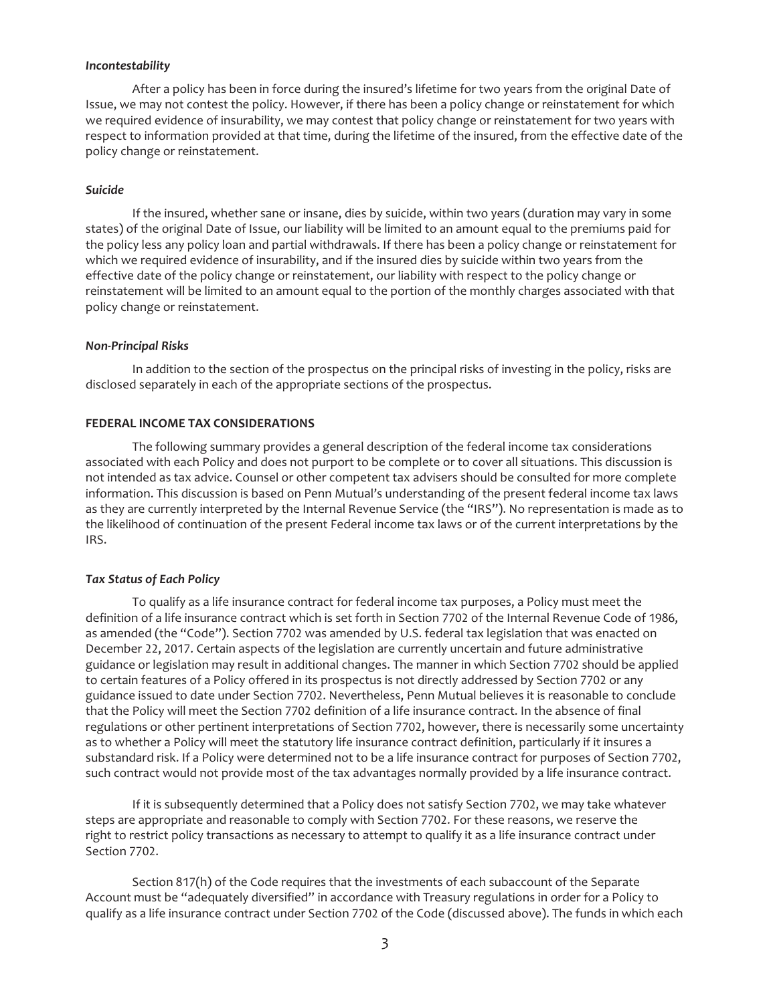#### *Incontestability*

After a policy has been in force during the insured's lifetime for two years from the original Date of Issue, we may not contest the policy. However, if there has been a policy change or reinstatement for which we required evidence of insurability, we may contest that policy change or reinstatement for two years with respect to information provided at that time, during the lifetime of the insured, from the effective date of the policy change or reinstatement.

#### *Suicide*

If the insured, whether sane or insane, dies by suicide, within two years (duration may vary in some states) of the original Date of Issue, our liability will be limited to an amount equal to the premiums paid for the policy less any policy loan and partial withdrawals. If there has been a policy change or reinstatement for which we required evidence of insurability, and if the insured dies by suicide within two years from the effective date of the policy change or reinstatement, our liability with respect to the policy change or reinstatement will be limited to an amount equal to the portion of the monthly charges associated with that policy change or reinstatement.

#### *Non-Principal Risks*

In addition to the section of the prospectus on the principal risks of investing in the policy, risks are disclosed separately in each of the appropriate sections of the prospectus.

#### <span id="page-2-0"></span>**FEDERAL INCOME TAX CONSIDERATIONS**

The following summary provides a general description of the federal income tax considerations associated with each Policy and does not purport to be complete or to cover all situations. This discussion is not intended as tax advice. Counsel or other competent tax advisers should be consulted for more complete information. This discussion is based on Penn Mutual's understanding of the present federal income tax laws as they are currently interpreted by the Internal Revenue Service (the "IRS"). No representation is made as to the likelihood of continuation of the present Federal income tax laws or of the current interpretations by the IRS.

## *Tax Status of Each Policy*

To qualify as a life insurance contract for federal income tax purposes, a Policy must meet the definition of a life insurance contract which is set forth in Section 7702 of the Internal Revenue Code of 1986, as amended (the "Code"). Section 7702 was amended by U.S. federal tax legislation that was enacted on December 22, 2017. Certain aspects of the legislation are currently uncertain and future administrative guidance or legislation may result in additional changes. The manner in which Section 7702 should be applied to certain features of a Policy offered in its prospectus is not directly addressed by Section 7702 or any guidance issued to date under Section 7702. Nevertheless, Penn Mutual believes it is reasonable to conclude that the Policy will meet the Section 7702 definition of a life insurance contract. In the absence of final regulations or other pertinent interpretations of Section 7702, however, there is necessarily some uncertainty as to whether a Policy will meet the statutory life insurance contract definition, particularly if it insures a substandard risk. If a Policy were determined not to be a life insurance contract for purposes of Section 7702, such contract would not provide most of the tax advantages normally provided by a life insurance contract.

If it is subsequently determined that a Policy does not satisfy Section 7702, we may take whatever steps are appropriate and reasonable to comply with Section 7702. For these reasons, we reserve the right to restrict policy transactions as necessary to attempt to qualify it as a life insurance contract under Section 7702.

Section 817(h) of the Code requires that the investments of each subaccount of the Separate Account must be "adequately diversified" in accordance with Treasury regulations in order for a Policy to qualify as a life insurance contract under Section 7702 of the Code (discussed above). The funds in which each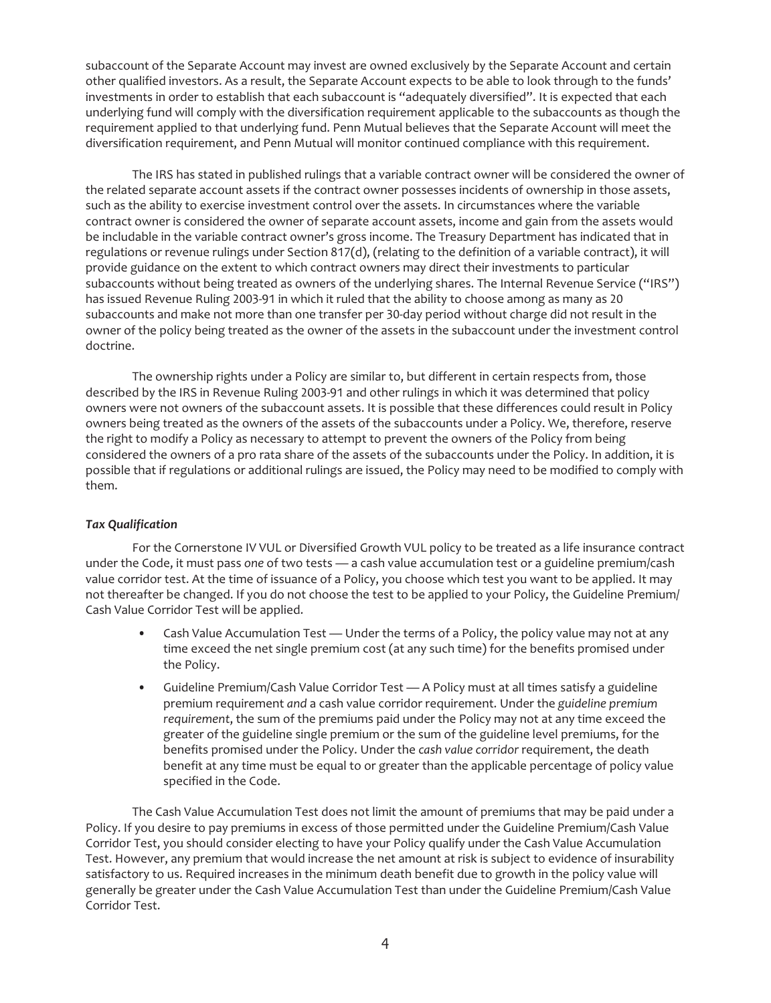subaccount of the Separate Account may invest are owned exclusively by the Separate Account and certain other qualified investors. As a result, the Separate Account expects to be able to look through to the funds' investments in order to establish that each subaccount is "adequately diversified". It is expected that each underlying fund will comply with the diversification requirement applicable to the subaccounts as though the requirement applied to that underlying fund. Penn Mutual believes that the Separate Account will meet the diversification requirement, and Penn Mutual will monitor continued compliance with this requirement.

The IRS has stated in published rulings that a variable contract owner will be considered the owner of the related separate account assets if the contract owner possesses incidents of ownership in those assets, such as the ability to exercise investment control over the assets. In circumstances where the variable contract owner is considered the owner of separate account assets, income and gain from the assets would be includable in the variable contract owner's gross income. The Treasury Department has indicated that in regulations or revenue rulings under Section 817(d), (relating to the definition of a variable contract), it will provide guidance on the extent to which contract owners may direct their investments to particular subaccounts without being treated as owners of the underlying shares. The Internal Revenue Service ("IRS") has issued Revenue Ruling 2003-91 in which it ruled that the ability to choose among as many as 20 subaccounts and make not more than one transfer per 30-day period without charge did not result in the owner of the policy being treated as the owner of the assets in the subaccount under the investment control doctrine.

The ownership rights under a Policy are similar to, but different in certain respects from, those described by the IRS in Revenue Ruling 2003-91 and other rulings in which it was determined that policy owners were not owners of the subaccount assets. It is possible that these differences could result in Policy owners being treated as the owners of the assets of the subaccounts under a Policy. We, therefore, reserve the right to modify a Policy as necessary to attempt to prevent the owners of the Policy from being considered the owners of a pro rata share of the assets of the subaccounts under the Policy. In addition, it is possible that if regulations or additional rulings are issued, the Policy may need to be modified to comply with them.

## *Tax Qualification*

For the Cornerstone IV VUL or Diversified Growth VUL policy to be treated as a life insurance contract under the Code, it must pass *one* of two tests — a cash value accumulation test or a guideline premium/cash value corridor test. At the time of issuance of a Policy, you choose which test you want to be applied. It may not thereafter be changed. If you do not choose the test to be applied to your Policy, the Guideline Premium/ Cash Value Corridor Test will be applied.

- Cash Value Accumulation Test Under the terms of a Policy, the policy value may not at any time exceed the net single premium cost (at any such time) for the benefits promised under the Policy.
- Guideline Premium/Cash Value Corridor Test A Policy must at all times satisfy a guideline premium requirement *and* a cash value corridor requirement. Under the *guideline premium requirement*, the sum of the premiums paid under the Policy may not at any time exceed the greater of the guideline single premium or the sum of the guideline level premiums, for the benefits promised under the Policy. Under the *cash value corridor* requirement, the death benefit at any time must be equal to or greater than the applicable percentage of policy value specified in the Code.

The Cash Value Accumulation Test does not limit the amount of premiums that may be paid under a Policy. If you desire to pay premiums in excess of those permitted under the Guideline Premium/Cash Value Corridor Test, you should consider electing to have your Policy qualify under the Cash Value Accumulation Test. However, any premium that would increase the net amount at risk is subject to evidence of insurability satisfactory to us. Required increases in the minimum death benefit due to growth in the policy value will generally be greater under the Cash Value Accumulation Test than under the Guideline Premium/Cash Value Corridor Test.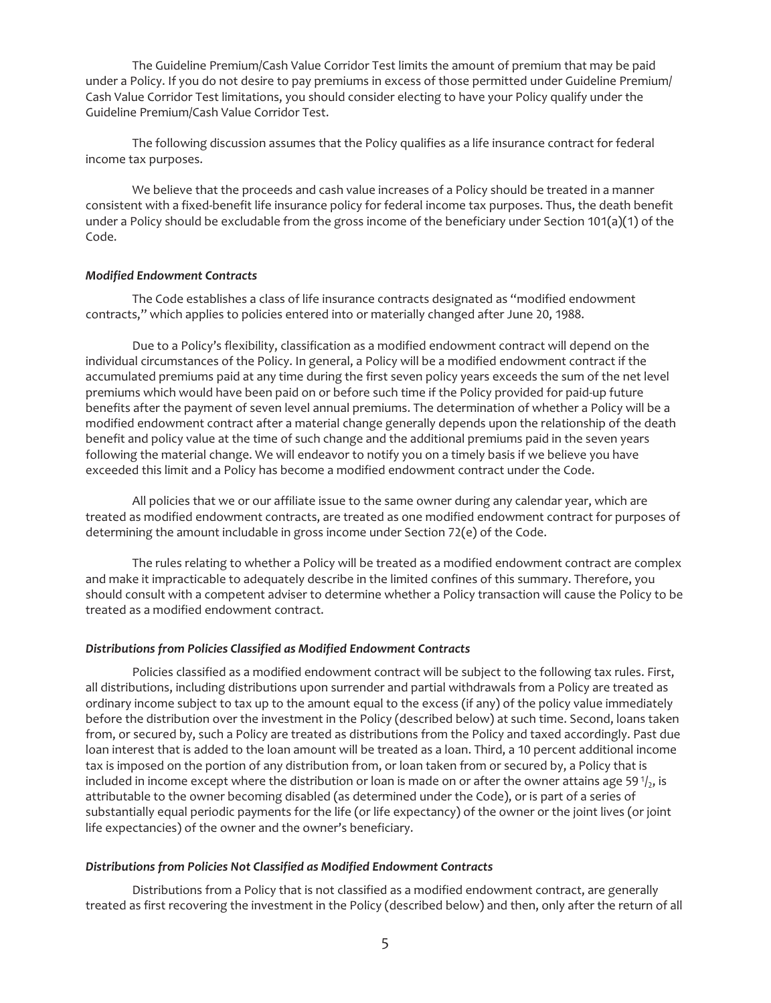The Guideline Premium/Cash Value Corridor Test limits the amount of premium that may be paid under a Policy. If you do not desire to pay premiums in excess of those permitted under Guideline Premium/ Cash Value Corridor Test limitations, you should consider electing to have your Policy qualify under the Guideline Premium/Cash Value Corridor Test.

The following discussion assumes that the Policy qualifies as a life insurance contract for federal income tax purposes.

We believe that the proceeds and cash value increases of a Policy should be treated in a manner consistent with a fixed-benefit life insurance policy for federal income tax purposes. Thus, the death benefit under a Policy should be excludable from the gross income of the beneficiary under Section 101(a)(1) of the Code.

## *Modified Endowment Contracts*

The Code establishes a class of life insurance contracts designated as "modified endowment contracts," which applies to policies entered into or materially changed after June 20, 1988.

Due to a Policy's flexibility, classification as a modified endowment contract will depend on the individual circumstances of the Policy. In general, a Policy will be a modified endowment contract if the accumulated premiums paid at any time during the first seven policy years exceeds the sum of the net level premiums which would have been paid on or before such time if the Policy provided for paid-up future benefits after the payment of seven level annual premiums. The determination of whether a Policy will be a modified endowment contract after a material change generally depends upon the relationship of the death benefit and policy value at the time of such change and the additional premiums paid in the seven years following the material change. We will endeavor to notify you on a timely basis if we believe you have exceeded this limit and a Policy has become a modified endowment contract under the Code.

All policies that we or our affiliate issue to the same owner during any calendar year, which are treated as modified endowment contracts, are treated as one modified endowment contract for purposes of determining the amount includable in gross income under Section 72(e) of the Code.

The rules relating to whether a Policy will be treated as a modified endowment contract are complex and make it impracticable to adequately describe in the limited confines of this summary. Therefore, you should consult with a competent adviser to determine whether a Policy transaction will cause the Policy to be treated as a modified endowment contract.

#### *Distributions from Policies Classified as Modified Endowment Contracts*

Policies classified as a modified endowment contract will be subject to the following tax rules. First, all distributions, including distributions upon surrender and partial withdrawals from a Policy are treated as ordinary income subject to tax up to the amount equal to the excess (if any) of the policy value immediately before the distribution over the investment in the Policy (described below) at such time. Second, loans taken from, or secured by, such a Policy are treated as distributions from the Policy and taxed accordingly. Past due loan interest that is added to the loan amount will be treated as a loan. Third, a 10 percent additional income tax is imposed on the portion of any distribution from, or loan taken from or secured by, a Policy that is included in income except where the distribution or loan is made on or after the owner attains age 59 $\frac{1}{2}$ , is attributable to the owner becoming disabled (as determined under the Code), or is part of a series of substantially equal periodic payments for the life (or life expectancy) of the owner or the joint lives (or joint life expectancies) of the owner and the owner's beneficiary.

## *Distributions from Policies Not Classified as Modified Endowment Contracts*

Distributions from a Policy that is not classified as a modified endowment contract, are generally treated as first recovering the investment in the Policy (described below) and then, only after the return of all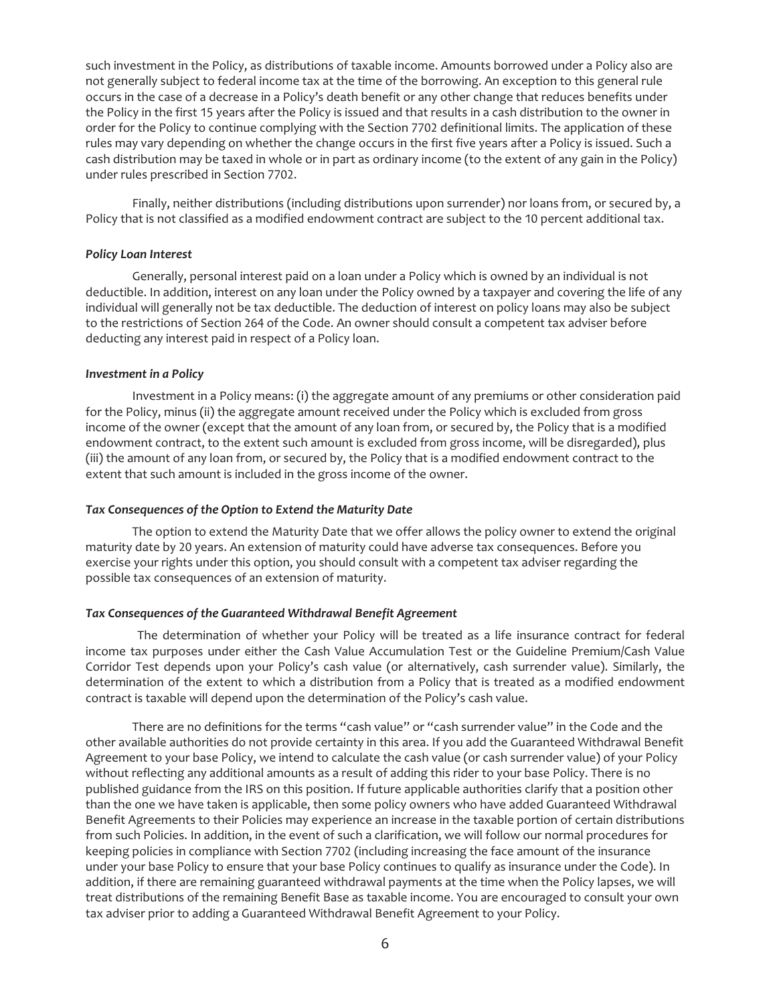such investment in the Policy, as distributions of taxable income. Amounts borrowed under a Policy also are not generally subject to federal income tax at the time of the borrowing. An exception to this general rule occurs in the case of a decrease in a Policy's death benefit or any other change that reduces benefits under the Policy in the first 15 years after the Policy is issued and that results in a cash distribution to the owner in order for the Policy to continue complying with the Section 7702 definitional limits. The application of these rules may vary depending on whether the change occurs in the first five years after a Policy is issued. Such a cash distribution may be taxed in whole or in part as ordinary income (to the extent of any gain in the Policy) under rules prescribed in Section 7702.

Finally, neither distributions (including distributions upon surrender) nor loans from, or secured by, a Policy that is not classified as a modified endowment contract are subject to the 10 percent additional tax.

#### *Policy Loan Interest*

Generally, personal interest paid on a loan under a Policy which is owned by an individual is not deductible. In addition, interest on any loan under the Policy owned by a taxpayer and covering the life of any individual will generally not be tax deductible. The deduction of interest on policy loans may also be subject to the restrictions of Section 264 of the Code. An owner should consult a competent tax adviser before deducting any interest paid in respect of a Policy loan.

#### *Investment in a Policy*

Investment in a Policy means: (i) the aggregate amount of any premiums or other consideration paid for the Policy, minus (ii) the aggregate amount received under the Policy which is excluded from gross income of the owner (except that the amount of any loan from, or secured by, the Policy that is a modified endowment contract, to the extent such amount is excluded from gross income, will be disregarded), plus (iii) the amount of any loan from, or secured by, the Policy that is a modified endowment contract to the extent that such amount is included in the gross income of the owner.

## *Tax Consequences of the Option to Extend the Maturity Date*

The option to extend the Maturity Date that we offer allows the policy owner to extend the original maturity date by 20 years. An extension of maturity could have adverse tax consequences. Before you exercise your rights under this option, you should consult with a competent tax adviser regarding the possible tax consequences of an extension of maturity.

## *Tax Consequences of the Guaranteed Withdrawal Benefit Agreement*

The determination of whether your Policy will be treated as a life insurance contract for federal income tax purposes under either the Cash Value Accumulation Test or the Guideline Premium/Cash Value Corridor Test depends upon your Policy's cash value (or alternatively, cash surrender value). Similarly, the determination of the extent to which a distribution from a Policy that is treated as a modified endowment contract is taxable will depend upon the determination of the Policy's cash value.

There are no definitions for the terms "cash value" or "cash surrender value" in the Code and the other available authorities do not provide certainty in this area. If you add the Guaranteed Withdrawal Benefit Agreement to your base Policy, we intend to calculate the cash value (or cash surrender value) of your Policy without reflecting any additional amounts as a result of adding this rider to your base Policy. There is no published guidance from the IRS on this position. If future applicable authorities clarify that a position other than the one we have taken is applicable, then some policy owners who have added Guaranteed Withdrawal Benefit Agreements to their Policies may experience an increase in the taxable portion of certain distributions from such Policies. In addition, in the event of such a clarification, we will follow our normal procedures for keeping policies in compliance with Section 7702 (including increasing the face amount of the insurance under your base Policy to ensure that your base Policy continues to qualify as insurance under the Code). In addition, if there are remaining guaranteed withdrawal payments at the time when the Policy lapses, we will treat distributions of the remaining Benefit Base as taxable income. You are encouraged to consult your own tax adviser prior to adding a Guaranteed Withdrawal Benefit Agreement to your Policy.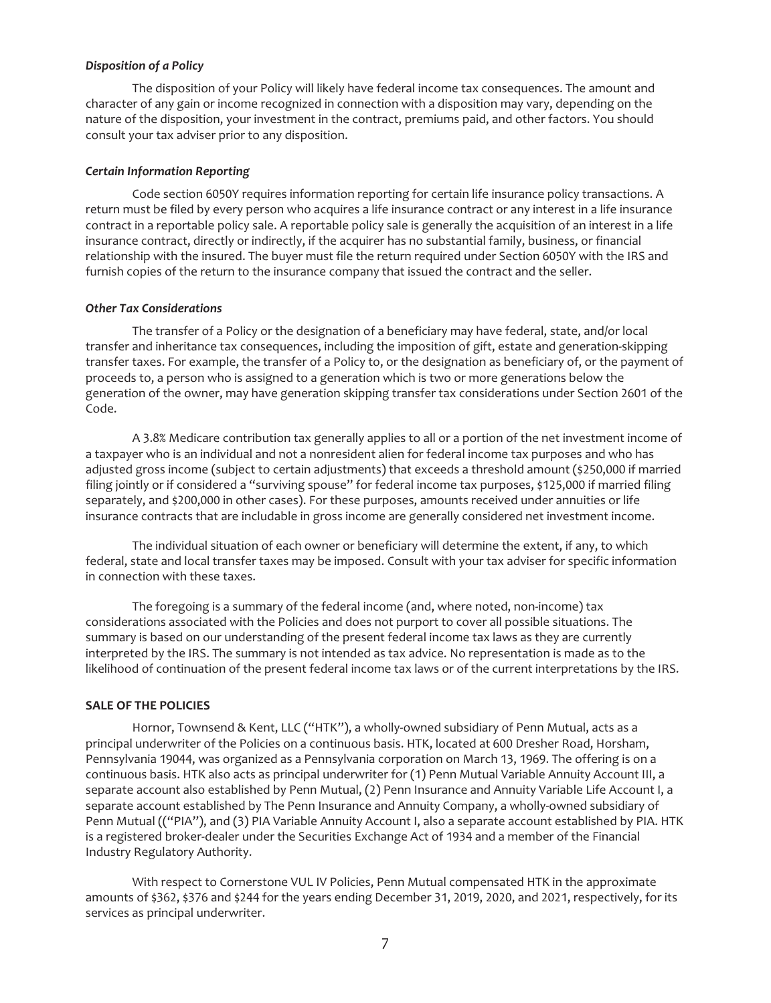## *Disposition of a Policy*

The disposition of your Policy will likely have federal income tax consequences. The amount and character of any gain or income recognized in connection with a disposition may vary, depending on the nature of the disposition, your investment in the contract, premiums paid, and other factors. You should consult your tax adviser prior to any disposition.

#### *Certain Information Reporting*

Code section 6050Y requires information reporting for certain life insurance policy transactions. A return must be filed by every person who acquires a life insurance contract or any interest in a life insurance contract in a reportable policy sale. A reportable policy sale is generally the acquisition of an interest in a life insurance contract, directly or indirectly, if the acquirer has no substantial family, business, or financial relationship with the insured. The buyer must file the return required under Section 6050Y with the IRS and furnish copies of the return to the insurance company that issued the contract and the seller.

#### *Other Tax Considerations*

The transfer of a Policy or the designation of a beneficiary may have federal, state, and/or local transfer and inheritance tax consequences, including the imposition of gift, estate and generation-skipping transfer taxes. For example, the transfer of a Policy to, or the designation as beneficiary of, or the payment of proceeds to, a person who is assigned to a generation which is two or more generations below the generation of the owner, may have generation skipping transfer tax considerations under Section 2601 of the Code.

A 3.8% Medicare contribution tax generally applies to all or a portion of the net investment income of a taxpayer who is an individual and not a nonresident alien for federal income tax purposes and who has adjusted gross income (subject to certain adjustments) that exceeds a threshold amount (\$250,000 if married filing jointly or if considered a "surviving spouse" for federal income tax purposes, \$125,000 if married filing separately, and \$200,000 in other cases). For these purposes, amounts received under annuities or life insurance contracts that are includable in gross income are generally considered net investment income.

The individual situation of each owner or beneficiary will determine the extent, if any, to which federal, state and local transfer taxes may be imposed. Consult with your tax adviser for specific information in connection with these taxes.

The foregoing is a summary of the federal income (and, where noted, non-income) tax considerations associated with the Policies and does not purport to cover all possible situations. The summary is based on our understanding of the present federal income tax laws as they are currently interpreted by the IRS. The summary is not intended as tax advice. No representation is made as to the likelihood of continuation of the present federal income tax laws or of the current interpretations by the IRS.

## <span id="page-6-0"></span>**SALE OF THE POLICIES**

Hornor, Townsend & Kent, LLC ("HTK"), a wholly-owned subsidiary of Penn Mutual, acts as a principal underwriter of the Policies on a continuous basis. HTK, located at 600 Dresher Road, Horsham, Pennsylvania 19044, was organized as a Pennsylvania corporation on March 13, 1969. The offering is on a continuous basis. HTK also acts as principal underwriter for (1) Penn Mutual Variable Annuity Account III, a separate account also established by Penn Mutual, (2) Penn Insurance and Annuity Variable Life Account I, a separate account established by The Penn Insurance and Annuity Company, a wholly-owned subsidiary of Penn Mutual (("PIA"), and (3) PIA Variable Annuity Account I, also a separate account established by PIA. HTK is a registered broker-dealer under the Securities Exchange Act of 1934 and a member of the Financial Industry Regulatory Authority.

With respect to Cornerstone VUL IV Policies, Penn Mutual compensated HTK in the approximate amounts of \$362, \$376 and \$244 for the years ending December 31, 2019, 2020, and 2021, respectively, for its services as principal underwriter.